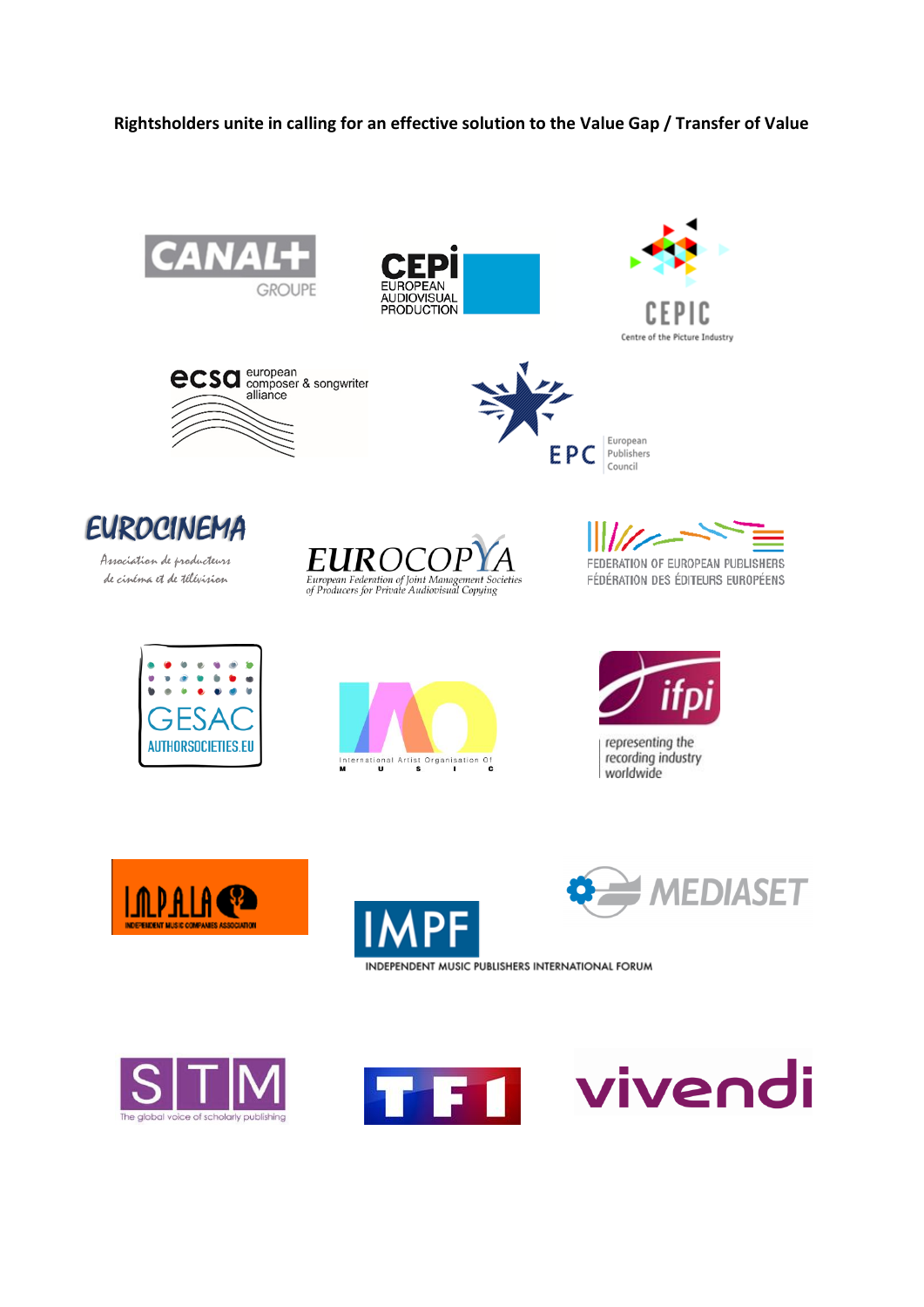## Rightsholders unite in calling for an effective solution to the Value Gap / Transfer of Value















Association de producteurs de cinéma et de télévision



FEDERATION OF EUROPEAN PUBLISHERS FÉDÉRATION DES ÉDITEURS EUROPÉENS







representing the recording industry worldwide





**MEDIASET** 





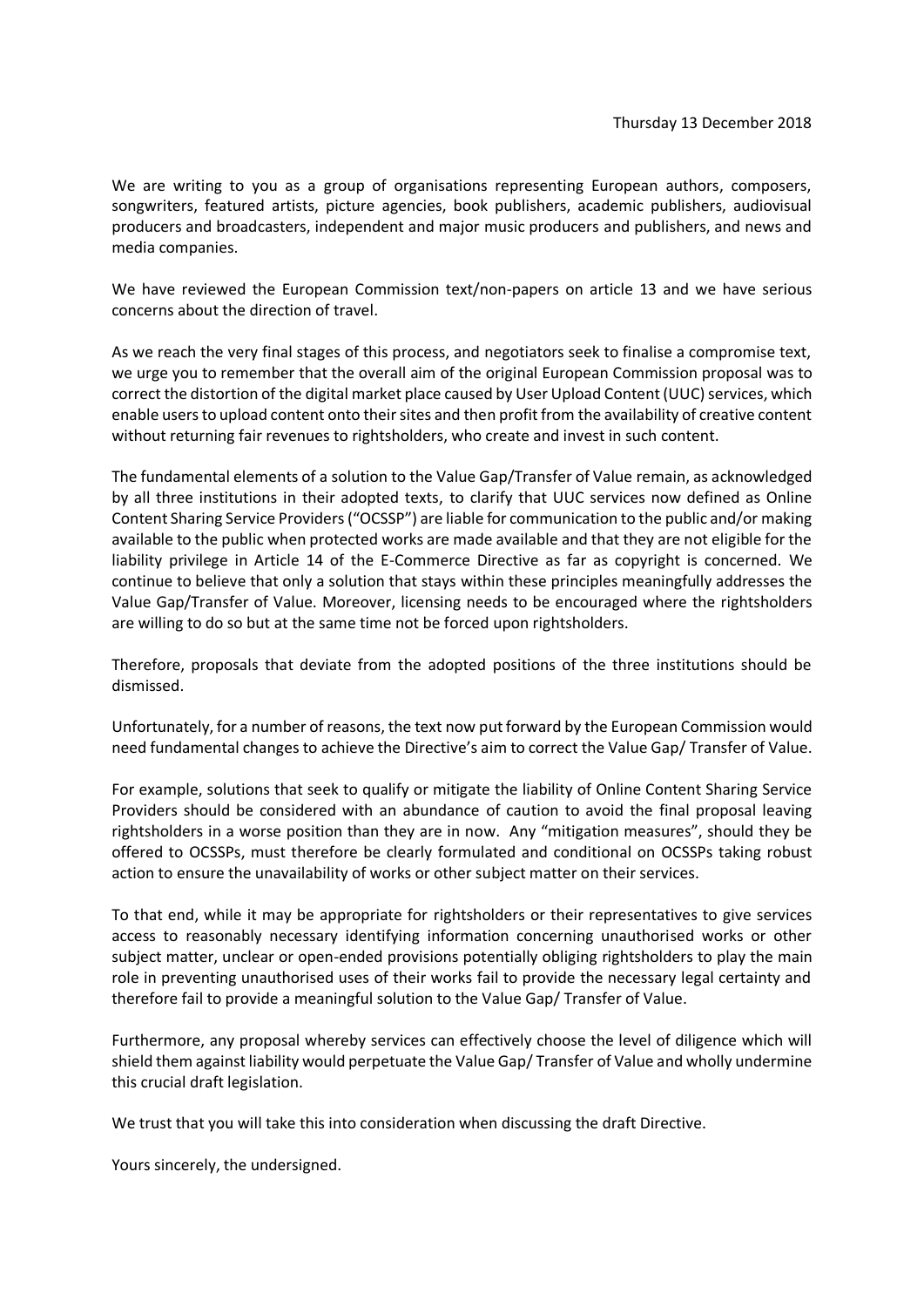We are writing to you as a group of organisations representing European authors, composers, songwriters, featured artists, picture agencies, book publishers, academic publishers, audiovisual producers and broadcasters, independent and major music producers and publishers, and news and media companies.

We have reviewed the European Commission text/non-papers on article 13 and we have serious concerns about the direction of travel.

As we reach the very final stages of this process, and negotiators seek to finalise a compromise text, we urge you to remember that the overall aim of the original European Commission proposal was to correct the distortion of the digital market place caused by User Upload Content (UUC) services, which enable users to upload content onto their sites and then profit from the availability of creative content without returning fair revenues to rightsholders, who create and invest in such content.

The fundamental elements of a solution to the Value Gap/Transfer of Value remain, as acknowledged by all three institutions in their adopted texts, to clarify that UUC services now defined as Online Content Sharing Service Providers("OCSSP") are liable for communication to the public and/or making available to the public when protected works are made available and that they are not eligible for the liability privilege in Article 14 of the E-Commerce Directive as far as copyright is concerned. We continue to believe that only a solution that stays within these principles meaningfully addresses the Value Gap/Transfer of Value. Moreover, licensing needs to be encouraged where the rightsholders are willing to do so but at the same time not be forced upon rightsholders.

Therefore, proposals that deviate from the adopted positions of the three institutions should be dismissed.

Unfortunately, for a number of reasons, the text now put forward by the European Commission would need fundamental changes to achieve the Directive's aim to correct the Value Gap/ Transfer of Value.

For example, solutions that seek to qualify or mitigate the liability of Online Content Sharing Service Providers should be considered with an abundance of caution to avoid the final proposal leaving rightsholders in a worse position than they are in now. Any "mitigation measures", should they be offered to OCSSPs, must therefore be clearly formulated and conditional on OCSSPs taking robust action to ensure the unavailability of works or other subject matter on their services.

To that end, while it may be appropriate for rightsholders or their representatives to give services access to reasonably necessary identifying information concerning unauthorised works or other subject matter, unclear or open-ended provisions potentially obliging rightsholders to play the main role in preventing unauthorised uses of their works fail to provide the necessary legal certainty and therefore fail to provide a meaningful solution to the Value Gap/ Transfer of Value.

Furthermore, any proposal whereby services can effectively choose the level of diligence which will shield them against liability would perpetuate the Value Gap/ Transfer of Value and wholly undermine this crucial draft legislation.

We trust that you will take this into consideration when discussing the draft Directive.

Yours sincerely, the undersigned.